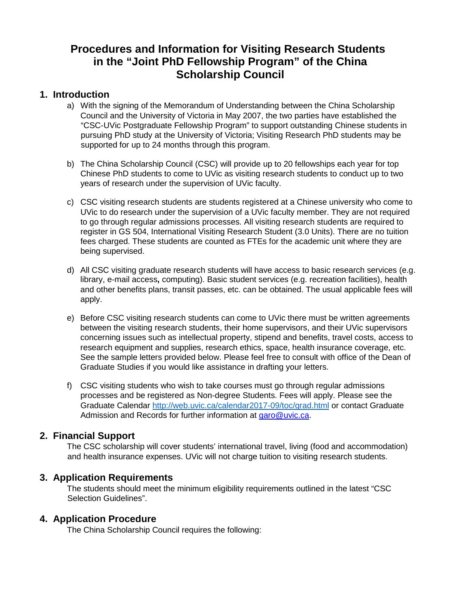# **Procedures and Information for Visiting Research Students in the "Joint PhD Fellowship Program" of the China Scholarship Council**

## **1. Introduction**

- a) With the signing of the Memorandum of Understanding between the China Scholarship Council and the University of Victoria in May 2007, the two parties have established the "CSC-UVic Postgraduate Fellowship Program" to support outstanding Chinese students in pursuing PhD study at the University of Victoria; Visiting Research PhD students may be supported for up to 24 months through this program.
- b) The China Scholarship Council (CSC) will provide up to 20 fellowships each year for top Chinese PhD students to come to UVic as visiting research students to conduct up to two years of research under the supervision of UVic faculty.
- c) CSC visiting research students are students registered at a Chinese university who come to UVic to do research under the supervision of a UVic faculty member. They are not required to go through regular admissions processes. All visiting research students are required to register in GS 504, International Visiting Research Student (3.0 Units). There are no tuition fees charged. These students are counted as FTEs for the academic unit where they are being supervised.
- d) All CSC visiting graduate research students will have access to basic research services (e.g. library, e-mail access**,** computing). Basic student services (e.g. recreation facilities), health and other benefits plans, transit passes, etc. can be obtained. The usual applicable fees will apply.
- e) Before CSC visiting research students can come to UVic there must be written agreements between the visiting research students, their home supervisors, and their UVic supervisors concerning issues such as intellectual property, stipend and benefits, travel costs, access to research equipment and supplies, research ethics, space, health insurance coverage, etc. See the sample letters provided below. Please feel free to consult with office of the Dean of Graduate Studies if you would like assistance in drafting your letters.
- f) CSC visiting students who wish to take courses must go through regular admissions processes and be registered as Non-degree Students. Fees will apply. Please see the Graduate Calendar<http://web.uvic.ca/calendar2017-09/toc/grad.html> or contact Graduate Admission and Records for further information at garo@uvic.ca.

## **2. Financial Support**

The CSC scholarship will cover students' international travel, living (food and accommodation) and health insurance expenses. UVic will not charge tuition to visiting research students.

## **3. Application Requirements**

The students should meet the minimum eligibility requirements outlined in the latest "CSC Selection Guidelines".

## **4. Application Procedure**

The China Scholarship Council requires the following: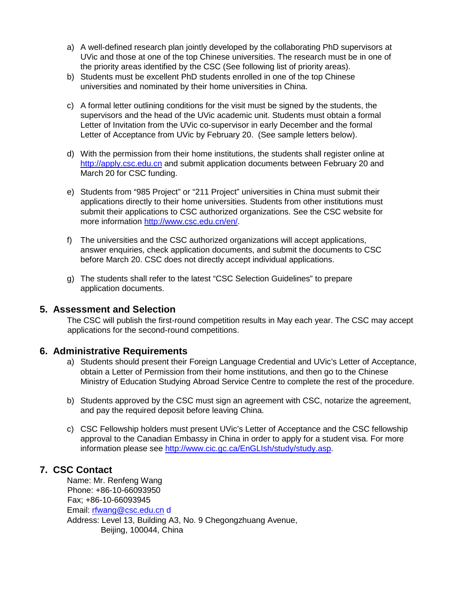- a) A well-defined research plan jointly developed by the collaborating PhD supervisors at UVic and those at one of the top Chinese universities. The research must be in one of the priority areas identified by the CSC (See following list of priority areas).
- b) Students must be excellent PhD students enrolled in one of the top Chinese universities and nominated by their home universities in China.
- c) A formal letter outlining conditions for the visit must be signed by the students, the supervisors and the head of the UVic academic unit. Students must obtain a formal Letter of Invitation from the UVic co-supervisor in early December and the formal Letter of Acceptance from UVic by February 20. (See sample letters below).
- d) With the permission from their home institutions, the students shall register online at [http://apply.csc.edu.cn](http://apply.csc.edu.cn/) and submit application documents between February 20 and March 20 for CSC funding.
- e) Students from "985 Project" or "211 Project" universities in China must submit their applications directly to their home universities. Students from other institutions must submit their applications to CSC authorized organizations. See the CSC website for more information [http://www.csc.edu.cn/en/.](http://www.csc.edu.cn/en/)
- f) The universities and the CSC authorized organizations will accept applications, answer enquiries, check application documents, and submit the documents to CSC before March 20. CSC does not directly accept individual applications.
- g) The students shall refer to the latest "CSC Selection Guidelines" to prepare application documents.

### **5. Assessment and Selection**

The CSC will publish the first-round competition results in May each year. The CSC may accept applications for the second-round competitions.

### **6. Administrative Requirements**

- a) Students should present their Foreign Language Credential and UVic's Letter of Acceptance, obtain a Letter of Permission from their home institutions, and then go to the Chinese Ministry of Education Studying Abroad Service Centre to complete the rest of the procedure.
- b) Students approved by the CSC must sign an agreement with CSC, notarize the agreement, and pay the required deposit before leaving China.
- c) CSC Fellowship holders must present UVic's Letter of Acceptance and the CSC fellowship approval to the Canadian Embassy in China in order to apply for a student visa. For more information please see [http://www.cic.gc.ca/EnGLIsh/study/study.asp.](http://www.cic.gc.ca/EnGLIsh/study/study.asp)

## **7. CSC Contact**

Name: Mr. Renfeng Wang Phone: +86-10-66093950 Fax; +86-10-66093945 Email: rfwang@csc.edu.cn d Address: Level 13, Building A3, No. 9 Chegongzhuang Avenue, Beijing, 100044, China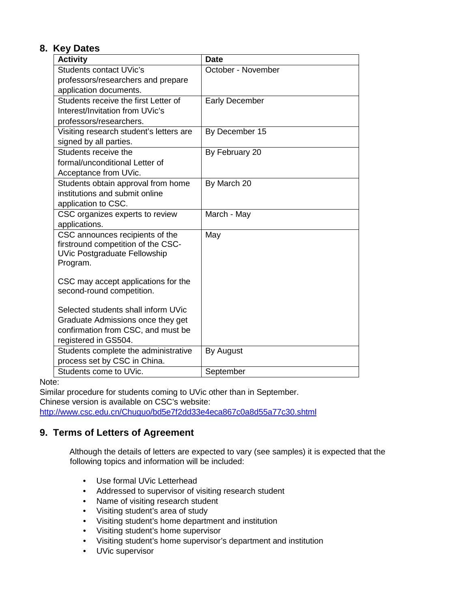# **8. Key Dates**

| <b>Activity</b>                         | <b>Date</b>           |
|-----------------------------------------|-----------------------|
| <b>Students contact UVic's</b>          | October - November    |
| professors/researchers and prepare      |                       |
| application documents.                  |                       |
| Students receive the first Letter of    | <b>Early December</b> |
| Interest/Invitation from UVic's         |                       |
| professors/researchers.                 |                       |
| Visiting research student's letters are | By December 15        |
| signed by all parties.                  |                       |
| Students receive the                    | By February 20        |
| formal/unconditional Letter of          |                       |
| Acceptance from UVic.                   |                       |
| Students obtain approval from home      | By March 20           |
| institutions and submit online          |                       |
| application to CSC.                     |                       |
| CSC organizes experts to review         | March - May           |
| applications.                           |                       |
| CSC announces recipients of the         | May                   |
| firstround competition of the CSC-      |                       |
| <b>UVic Postgraduate Fellowship</b>     |                       |
| Program.                                |                       |
| CSC may accept applications for the     |                       |
| second-round competition.               |                       |
|                                         |                       |
| Selected students shall inform UVic     |                       |
| Graduate Admissions once they get       |                       |
| confirmation from CSC, and must be      |                       |
| registered in GS504.                    |                       |
| Students complete the administrative    | By August             |
| process set by CSC in China.            |                       |
| Students come to UVic.                  | September             |

Note:

Similar procedure for students coming to UVic other than in September.

Chinese version is available on CSC's website:

<http://www.csc.edu.cn/Chuguo/bd5e7f2dd33e4eca867c0a8d55a77c30.shtml>

## **9. Terms of Letters of Agreement**

Although the details of letters are expected to vary (see samples) it is expected that the following topics and information will be included:

- Use formal UVic Letterhead
- Addressed to supervisor of visiting research student
- Name of visiting research student
- Visiting student's area of study
- Visiting student's home department and institution
- Visiting student's home supervisor
- Visiting student's home supervisor's department and institution
- UVic supervisor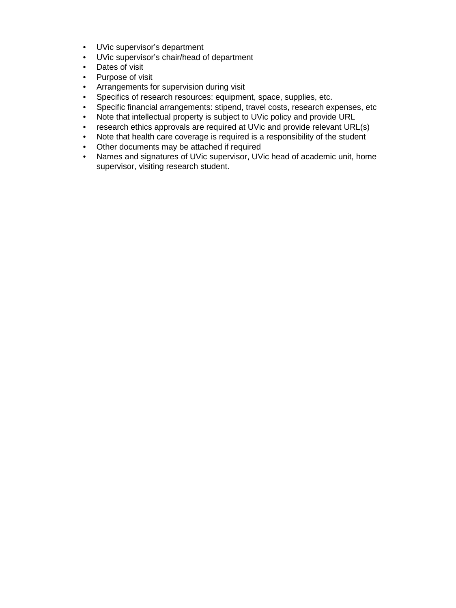- UVic supervisor's department
- UVic supervisor's chair/head of department
- Dates of visit<br>• Purpose of visit
- Purpose of visit<br>• Arrangements fo
- Arrangements for supervision during visit
- Specifics of research resources: equipment, space, supplies, etc.
- Specific financial arrangements: stipend, travel costs, research expenses, etc
- Note that intellectual property is subject to UVic policy and provide URL
- research ethics approvals are required at UVic and provide relevant URL(s)
- Note that health care coverage is required is a responsibility of the student
- Other documents may be attached if required
- Names and signatures of UVic supervisor, UVic head of academic unit, home supervisor, visiting research student.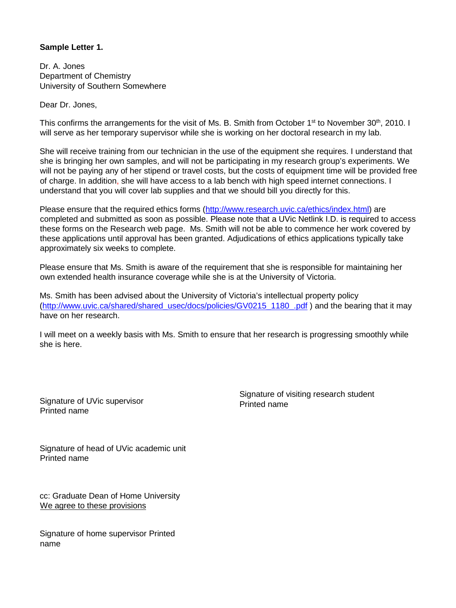#### **Sample Letter 1.**

Dr. A. Jones Department of Chemistry University of Southern Somewhere

Dear Dr. Jones,

This confirms the arrangements for the visit of Ms. B. Smith from October 1<sup>st</sup> to November 30<sup>th</sup>, 2010. I will serve as her temporary supervisor while she is working on her doctoral research in my lab.

She will receive training from our technician in the use of the equipment she requires. I understand that she is bringing her own samples, and will not be participating in my research group's experiments. We will not be paying any of her stipend or travel costs, but the costs of equipment time will be provided free of charge. In addition, she will have access to a lab bench with high speed internet connections. I understand that you will cover lab supplies and that we should bill you directly for this.

Please ensure that the required ethics forms [\(http://www.research.uvic.ca/ethics/index.html\)](http://www.research.uvic.ca/ethics/index.html) are completed and submitted as soon as possible. Please note that a UVic Netlink I.D. is required to access these forms on the Research web page. Ms. Smith will not be able to commence her work covered by these applications until approval has been granted. Adjudications of ethics applications typically take approximately six weeks to complete.

Please ensure that Ms. Smith is aware of the requirement that she is responsible for maintaining her own extended health insurance coverage while she is at the University of Victoria.

Ms. Smith has been advised about the University of Victoria's intellectual property policy [\(http://www.uvic.ca/shared/shared\\_usec/docs/policies/GV0215\\_1180\\_.pdf](http://www.uvic.ca/shared/shared_usec/docs/policies/GV0215_1180_.pdf)[\)](http://www.uvic.ca/shared/shared_usec/docs/policies/GV0215_1180_.pdf) and the bearing that it may have on her research.

I will meet on a weekly basis with Ms. Smith to ensure that her research is progressing smoothly while she is here.

Signature of UVic supervisor Printed name

Signature of visiting research student Printed name

Signature of head of UVic academic unit Printed name

cc: Graduate Dean of Home University We agree to these provisions

Signature of home supervisor Printed name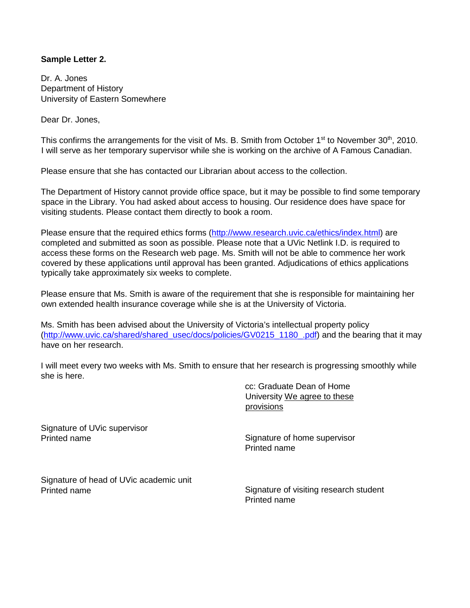### **Sample Letter 2.**

Dr. A. Jones Department of History University of Eastern Somewhere

Dear Dr. Jones,

This confirms the arrangements for the visit of Ms. B. Smith from October  $1<sup>st</sup>$  to November 30<sup>th</sup>, 2010. I will serve as her temporary supervisor while she is working on the archive of A Famous Canadian.

Please ensure that she has contacted our Librarian about access to the collection.

The Department of History cannot provide office space, but it may be possible to find some temporary space in the Library. You had asked about access to housing. Our residence does have space for visiting students. Please contact them directly to book a room.

Please ensure that the required ethics forms [\(http://www.research.uvic.ca/ethics/index.html\)](http://www.research.uvic.ca/ethics/index.html) are completed and submitted as soon as possible. Please note that a UVic Netlink I.D. is required to access these forms on the Research web page. Ms. Smith will not be able to commence her work covered by these applications until approval has been granted. Adjudications of ethics applications typically take approximately six weeks to complete.

Please ensure that Ms. Smith is aware of the requirement that she is responsible for maintaining her own extended health insurance coverage while she is at the University of Victoria.

Ms. Smith has been advised about the University of Victoria's intellectual property policy [\(http://www.uvic.ca/shared/shared\\_usec/docs/policies/GV0215\\_1180\\_.pdf\)](http://www.uvic.ca/shared/shared_usec/docs/policies/GV0215_1180_.pdf) and the bearing that it may have on her research.

I will meet every two weeks with Ms. Smith to ensure that her research is progressing smoothly while she is here.

> cc: Graduate Dean of Home University We agree to these provisions

Signature of UVic supervisor Printed name

Signature of home supervisor Printed name

Signature of head of UVic academic unit Printed name

Signature of visiting research student Printed name